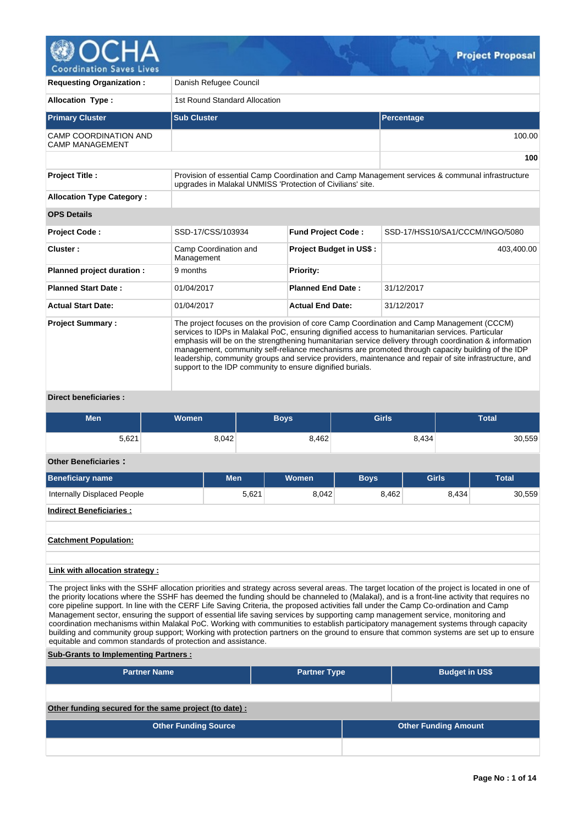

| <b>Requesting Organization:</b>                        | Danish Refugee Council              |                                                                                                                                                                                                                                                           |                                |              |                                                                                                                                                                                                                                                                                                                      |
|--------------------------------------------------------|-------------------------------------|-----------------------------------------------------------------------------------------------------------------------------------------------------------------------------------------------------------------------------------------------------------|--------------------------------|--------------|----------------------------------------------------------------------------------------------------------------------------------------------------------------------------------------------------------------------------------------------------------------------------------------------------------------------|
| <b>Allocation Type:</b>                                | 1st Round Standard Allocation       |                                                                                                                                                                                                                                                           |                                |              |                                                                                                                                                                                                                                                                                                                      |
| <b>Primary Cluster</b>                                 | <b>Sub Cluster</b>                  |                                                                                                                                                                                                                                                           |                                | Percentage   |                                                                                                                                                                                                                                                                                                                      |
| <b>CAMP COORDINATION AND</b><br><b>CAMP MANAGEMENT</b> |                                     |                                                                                                                                                                                                                                                           |                                |              | 100.00                                                                                                                                                                                                                                                                                                               |
|                                                        |                                     |                                                                                                                                                                                                                                                           |                                |              | 100                                                                                                                                                                                                                                                                                                                  |
| <b>Project Title:</b>                                  |                                     | upgrades in Malakal UNMISS 'Protection of Civilians' site.                                                                                                                                                                                                |                                |              | Provision of essential Camp Coordination and Camp Management services & communal infrastructure                                                                                                                                                                                                                      |
| <b>Allocation Type Category:</b>                       |                                     |                                                                                                                                                                                                                                                           |                                |              |                                                                                                                                                                                                                                                                                                                      |
| <b>OPS Details</b>                                     |                                     |                                                                                                                                                                                                                                                           |                                |              |                                                                                                                                                                                                                                                                                                                      |
| <b>Project Code:</b>                                   | SSD-17/CSS/103934                   | <b>Fund Project Code:</b>                                                                                                                                                                                                                                 |                                |              | SSD-17/HSS10/SA1/CCCM/INGO/5080                                                                                                                                                                                                                                                                                      |
| Cluster:                                               | Camp Coordination and<br>Management |                                                                                                                                                                                                                                                           | <b>Project Budget in US\$:</b> |              | 403,400.00                                                                                                                                                                                                                                                                                                           |
| Planned project duration :                             | 9 months                            | <b>Priority:</b>                                                                                                                                                                                                                                          |                                |              |                                                                                                                                                                                                                                                                                                                      |
| <b>Planned Start Date:</b>                             | 01/04/2017                          | <b>Planned End Date:</b>                                                                                                                                                                                                                                  |                                | 31/12/2017   |                                                                                                                                                                                                                                                                                                                      |
| <b>Actual Start Date:</b>                              | 01/04/2017                          | <b>Actual End Date:</b>                                                                                                                                                                                                                                   |                                | 31/12/2017   |                                                                                                                                                                                                                                                                                                                      |
| <b>Project Summary:</b>                                |                                     | The project focuses on the provision of core Camp Coordination and Camp Management (CCCM)<br>services to IDPs in Malakal PoC, ensuring dignified access to humanitarian services. Particular<br>support to the IDP community to ensure dignified burials. |                                |              | emphasis will be on the strengthening humanitarian service delivery through coordination & information<br>management, community self-reliance mechanisms are promoted through capacity building of the IDP<br>leadership, community groups and service providers, maintenance and repair of site infrastructure, and |
| <b>Direct beneficiaries:</b>                           |                                     |                                                                                                                                                                                                                                                           |                                |              |                                                                                                                                                                                                                                                                                                                      |
| <b>Men</b>                                             | <b>Women</b>                        | <b>Boys</b>                                                                                                                                                                                                                                               |                                | <b>Girls</b> | <b>Total</b>                                                                                                                                                                                                                                                                                                         |

| 5,621                              | 8,042      | 8,462 |             | 8,434        | 30,559       |
|------------------------------------|------------|-------|-------------|--------------|--------------|
| <b>Other Beneficiaries:</b>        |            |       |             |              |              |
| <b>Beneficiary name</b>            | <b>Men</b> | Women | <b>Boys</b> | <b>Girls</b> | <b>Total</b> |
| <b>Internally Displaced People</b> | 5,621      | 8,042 | 8,462       | 8,434        | 30,559       |
| <b>Indirect Beneficiaries:</b>     |            |       |             |              |              |
|                                    |            |       |             |              |              |
| <b>Catchment Population:</b>       |            |       |             |              |              |
|                                    |            |       |             |              |              |
| Link with allocation strategy :    |            |       |             |              |              |

The project links with the SSHF allocation priorities and strategy across several areas. The target location of the project is located in one of the priority locations where the SSHF has deemed the funding should be channeled to (Malakal), and is a front-line activity that requires no core pipeline support. In line with the CERF Life Saving Criteria, the proposed activities fall under the Camp Co-ordination and Camp Management sector, ensuring the support of essential life saving services by supporting camp management service, monitoring and coordination mechanisms within Malakal PoC. Working with communities to establish participatory management systems through capacity building and community group support; Working with protection partners on the ground to ensure that common systems are set up to ensure equitable and common standards of protection and assistance.

# **Sub-Grants to Implementing Partners :**

| <b>Partner Name</b>                                   | <b>Partner Type</b> | <b>Budget in US\$</b>       |
|-------------------------------------------------------|---------------------|-----------------------------|
|                                                       |                     |                             |
| Other funding secured for the same project (to date): |                     |                             |
| <b>Other Funding Source</b>                           |                     | <b>Other Funding Amount</b> |
|                                                       |                     |                             |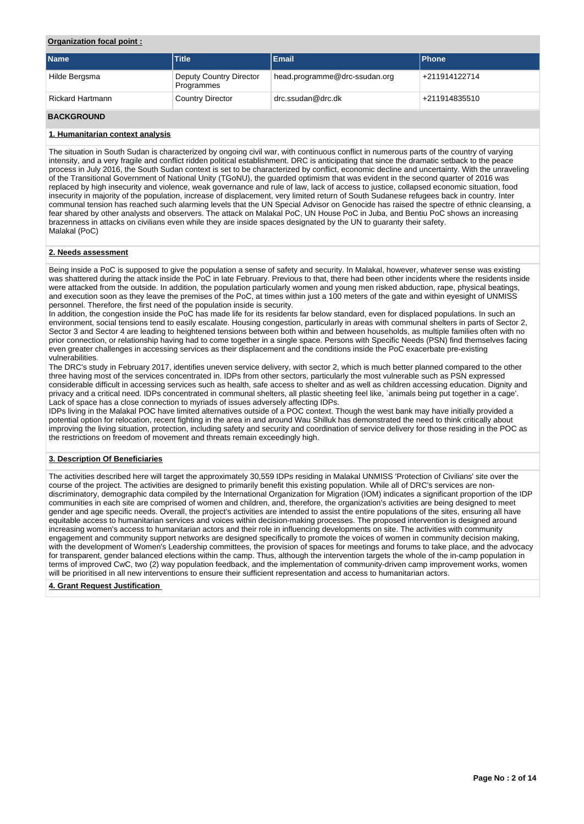## **Organization focal point :**

| <b>Name</b>             | <b>Title</b>                          | <b>Email</b>                  | <b>Phone</b>  |
|-------------------------|---------------------------------------|-------------------------------|---------------|
| Hilde Bergsma           | Deputy Country Director<br>Programmes | head.programme@drc-ssudan.org | +211914122714 |
| <b>Rickard Hartmann</b> | <b>Country Director</b>               | drc.ssudan@drc.dk             | +211914835510 |

# **BACKGROUND**

## **1. Humanitarian context analysis**

The situation in South Sudan is characterized by ongoing civil war, with continuous conflict in numerous parts of the country of varying intensity, and a very fragile and conflict ridden political establishment. DRC is anticipating that since the dramatic setback to the peace process in July 2016, the South Sudan context is set to be characterized by conflict, economic decline and uncertainty. With the unraveling of the Transitional Government of National Unity (TGoNU), the guarded optimism that was evident in the second quarter of 2016 was replaced by high insecurity and violence, weak governance and rule of law, lack of access to justice, collapsed economic situation, food insecurity in majority of the population, increase of displacement, very limited return of South Sudanese refugees back in country. Inter communal tension has reached such alarming levels that the UN Special Advisor on Genocide has raised the spectre of ethnic cleansing, a fear shared by other analysts and observers. The attack on Malakal PoC, UN House PoC in Juba, and Bentiu PoC shows an increasing brazenness in attacks on civilians even while they are inside spaces designated by the UN to guaranty their safety. Malakal (PoC)

## **2. Needs assessment**

Being inside a PoC is supposed to give the population a sense of safety and security. In Malakal, however, whatever sense was existing was shattered during the attack inside the PoC in late February. Previous to that, there had been other incidents where the residents inside were attacked from the outside. In addition, the population particularly women and young men risked abduction, rape, physical beatings, and execution soon as they leave the premises of the PoC, at times within just a 100 meters of the gate and within eyesight of UNMISS personnel. Therefore, the first need of the population inside is security.

In addition, the congestion inside the PoC has made life for its residents far below standard, even for displaced populations. In such an environment, social tensions tend to easily escalate. Housing congestion, particularly in areas with communal shelters in parts of Sector 2, Sector 3 and Sector 4 are leading to heightened tensions between both within and between households, as multiple families often with no prior connection, or relationship having had to come together in a single space. Persons with Specific Needs (PSN) find themselves facing even greater challenges in accessing services as their displacement and the conditions inside the PoC exacerbate pre-existing vulnerabilities.

The DRC's study in February 2017, identifies uneven service delivery, with sector 2, which is much better planned compared to the other three having most of the services concentrated in. IDPs from other sectors, particularly the most vulnerable such as PSN expressed considerable difficult in accessing services such as health, safe access to shelter and as well as children accessing education. Dignity and privacy and a critical need. IDPs concentrated in communal shelters, all plastic sheeting feel like, `animals being put together in a cage'. Lack of space has a close connection to myriads of issues adversely affecting IDPs.

IDPs living in the Malakal POC have limited alternatives outside of a POC context. Though the west bank may have initially provided a potential option for relocation, recent fighting in the area in and around Wau Shilluk has demonstrated the need to think critically about improving the living situation, protection, including safety and security and coordination of service delivery for those residing in the POC as the restrictions on freedom of movement and threats remain exceedingly high.

### **3. Description Of Beneficiaries**

The activities described here will target the approximately 30,559 IDPs residing in Malakal UNMISS 'Protection of Civilians' site over the course of the project. The activities are designed to primarily benefit this existing population. While all of DRC's services are nondiscriminatory, demographic data compiled by the International Organization for Migration (IOM) indicates a significant proportion of the IDP communities in each site are comprised of women and children, and, therefore, the organization's activities are being designed to meet gender and age specific needs. Overall, the project's activities are intended to assist the entire populations of the sites, ensuring all have equitable access to humanitarian services and voices within decision-making processes. The proposed intervention is designed around increasing women's access to humanitarian actors and their role in influencing developments on site. The activities with community engagement and community support networks are designed specifically to promote the voices of women in community decision making, with the development of Women's Leadership committees, the provision of spaces for meetings and forums to take place, and the advocacy for transparent, gender balanced elections within the camp. Thus, although the intervention targets the whole of the in-camp population in terms of improved CwC, two (2) way population feedback, and the implementation of community-driven camp improvement works, women will be prioritised in all new interventions to ensure their sufficient representation and access to humanitarian actors.

### **4. Grant Request Justification**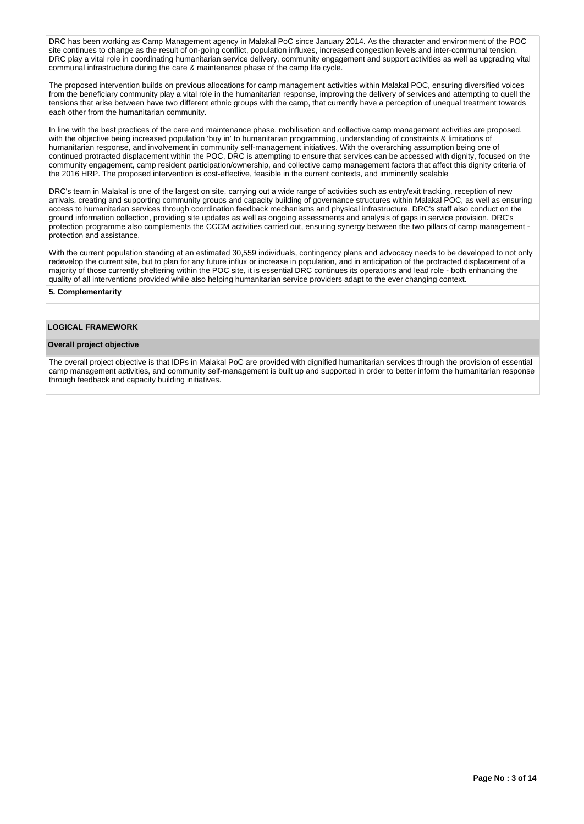DRC has been working as Camp Management agency in Malakal PoC since January 2014. As the character and environment of the POC site continues to change as the result of on-going conflict, population influxes, increased congestion levels and inter-communal tension, DRC play a vital role in coordinating humanitarian service delivery, community engagement and support activities as well as upgrading vital communal infrastructure during the care & maintenance phase of the camp life cycle.

The proposed intervention builds on previous allocations for camp management activities within Malakal POC, ensuring diversified voices from the beneficiary community play a vital role in the humanitarian response, improving the delivery of services and attempting to quell the tensions that arise between have two different ethnic groups with the camp, that currently have a perception of unequal treatment towards each other from the humanitarian community.

In line with the best practices of the care and maintenance phase, mobilisation and collective camp management activities are proposed, with the objective being increased population 'buy in' to humanitarian programming, understanding of constraints & limitations of humanitarian response, and involvement in community self-management initiatives. With the overarching assumption being one of continued protracted displacement within the POC, DRC is attempting to ensure that services can be accessed with dignity, focused on the community engagement, camp resident participation/ownership, and collective camp management factors that affect this dignity criteria of the 2016 HRP. The proposed intervention is cost-effective, feasible in the current contexts, and imminently scalable

DRC's team in Malakal is one of the largest on site, carrying out a wide range of activities such as entry/exit tracking, reception of new arrivals, creating and supporting community groups and capacity building of governance structures within Malakal POC, as well as ensuring access to humanitarian services through coordination feedback mechanisms and physical infrastructure. DRC's staff also conduct on the ground information collection, providing site updates as well as ongoing assessments and analysis of gaps in service provision. DRC's protection programme also complements the CCCM activities carried out, ensuring synergy between the two pillars of camp management protection and assistance.

With the current population standing at an estimated 30,559 individuals, contingency plans and advocacy needs to be developed to not only redevelop the current site, but to plan for any future influx or increase in population, and in anticipation of the protracted displacement of a majority of those currently sheltering within the POC site, it is essential DRC continues its operations and lead role - both enhancing the quality of all interventions provided while also helping humanitarian service providers adapt to the ever changing context.

## **5. Complementarity**

## **LOGICAL FRAMEWORK**

#### **Overall project objective**

The overall project objective is that IDPs in Malakal PoC are provided with dignified humanitarian services through the provision of essential camp management activities, and community self-management is built up and supported in order to better inform the humanitarian response through feedback and capacity building initiatives.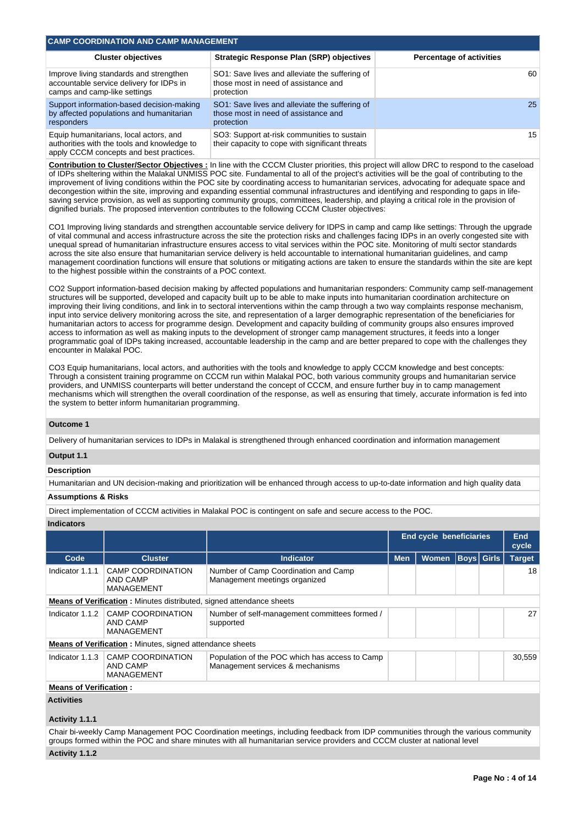| <b>CAMP COORDINATION AND CAMP MANAGEMENT</b>                                                                                     |                                                                                                      |                                 |
|----------------------------------------------------------------------------------------------------------------------------------|------------------------------------------------------------------------------------------------------|---------------------------------|
| <b>Cluster objectives</b>                                                                                                        | <b>Strategic Response Plan (SRP) objectives</b>                                                      | <b>Percentage of activities</b> |
| Improve living standards and strengthen<br>accountable service delivery for IDPs in<br>camps and camp-like settings              | SO1: Save lives and alleviate the suffering of<br>those most in need of assistance and<br>protection | 60                              |
| Support information-based decision-making<br>by affected populations and humanitarian<br>responders                              | SO1: Save lives and alleviate the suffering of<br>those most in need of assistance and<br>protection | 25                              |
| Equip humanitarians, local actors, and<br>authorities with the tools and knowledge to<br>apply CCCM concepts and best practices. | SO3: Support at-risk communities to sustain<br>their capacity to cope with significant threats       | 15 <sup>1</sup>                 |

**Contribution to Cluster/Sector Objectives :** In line with the CCCM Cluster priorities, this project will allow DRC to respond to the caseload of IDPs sheltering within the Malakal UNMISS POC site. Fundamental to all of the project's activities will be the goal of contributing to the improvement of living conditions within the POC site by coordinating access to humanitarian services, advocating for adequate space and decongestion within the site, improving and expanding essential communal infrastructures and identifying and responding to gaps in lifesaving service provision, as well as supporting community groups, committees, leadership, and playing a critical role in the provision of dignified burials. The proposed intervention contributes to the following CCCM Cluster objectives:

CO1 Improving living standards and strengthen accountable service delivery for IDPS in camp and camp like settings: Through the upgrade of vital communal and access infrastructure across the site the protection risks and challenges facing IDPs in an overly congested site with unequal spread of humanitarian infrastructure ensures access to vital services within the POC site. Monitoring of multi sector standards across the site also ensure that humanitarian service delivery is held accountable to international humanitarian guidelines, and camp management coordination functions will ensure that solutions or mitigating actions are taken to ensure the standards within the site are kept to the highest possible within the constraints of a POC context.

CO2 Support information-based decision making by affected populations and humanitarian responders: Community camp self-management structures will be supported, developed and capacity built up to be able to make inputs into humanitarian coordination architecture on improving their living conditions, and link in to sectoral interventions within the camp through a two way complaints response mechanism, input into service delivery monitoring across the site, and representation of a larger demographic representation of the beneficiaries for humanitarian actors to access for programme design. Development and capacity building of community groups also ensures improved access to information as well as making inputs to the development of stronger camp management structures, it feeds into a longer programmatic goal of IDPs taking increased, accountable leadership in the camp and are better prepared to cope with the challenges they encounter in Malakal POC.

CO3 Equip humanitarians, local actors, and authorities with the tools and knowledge to apply CCCM knowledge and best concepts: Through a consistent training programme on CCCM run within Malakal POC, both various community groups and humanitarian service providers, and UNMISS counterparts will better understand the concept of CCCM, and ensure further buy in to camp management mechanisms which will strengthen the overall coordination of the response, as well as ensuring that timely, accurate information is fed into the system to better inform humanitarian programming.

## **Outcome 1**

Delivery of humanitarian services to IDPs in Malakal is strengthened through enhanced coordination and information management

## **Output 1.1**

### **Description**

Humanitarian and UN decision-making and prioritization will be enhanced through access to up-to-date information and high quality data

# **Assumptions & Risks**

Direct implementation of CCCM activities in Malakal POC is contingent on safe and secure access to the POC.

#### **Indicators**

|                               |                                                                             |                                                                                    |            | <b>End cycle beneficiaries</b> |             | <b>End</b><br>cycle |
|-------------------------------|-----------------------------------------------------------------------------|------------------------------------------------------------------------------------|------------|--------------------------------|-------------|---------------------|
| Code                          | <b>Cluster</b>                                                              | <b>Indicator</b>                                                                   | <b>Men</b> | <b>Women</b>                   | Boys  Girls | <b>Target</b>       |
| Indicator 1.1.1               | <b>CAMP COORDINATION</b><br>AND CAMP<br>MANAGEMENT                          | Number of Camp Coordination and Camp<br>Management meetings organized              |            |                                |             | 18                  |
|                               | <b>Means of Verification:</b> Minutes distributed, signed attendance sheets |                                                                                    |            |                                |             |                     |
| Indicator 1.1.2               | CAMP COORDINATION<br>AND CAMP<br>MANAGEMENT                                 | Number of self-management committees formed /<br>supported                         |            |                                |             | 27                  |
|                               | <b>Means of Verification:</b> Minutes, signed attendance sheets             |                                                                                    |            |                                |             |                     |
| Indicator 1.1.3               | CAMP COORDINATION<br>AND CAMP<br>MANAGEMENT                                 | Population of the POC which has access to Camp<br>Management services & mechanisms |            |                                |             | 30.559              |
| <b>Means of Verification:</b> |                                                                             |                                                                                    |            |                                |             |                     |

## **Activities**

### **Activity 1.1.1**

Chair bi-weekly Camp Management POC Coordination meetings, including feedback from IDP communities through the various community groups formed within the POC and share minutes with all humanitarian service providers and CCCM cluster at national level

## **Activity 1.1.2**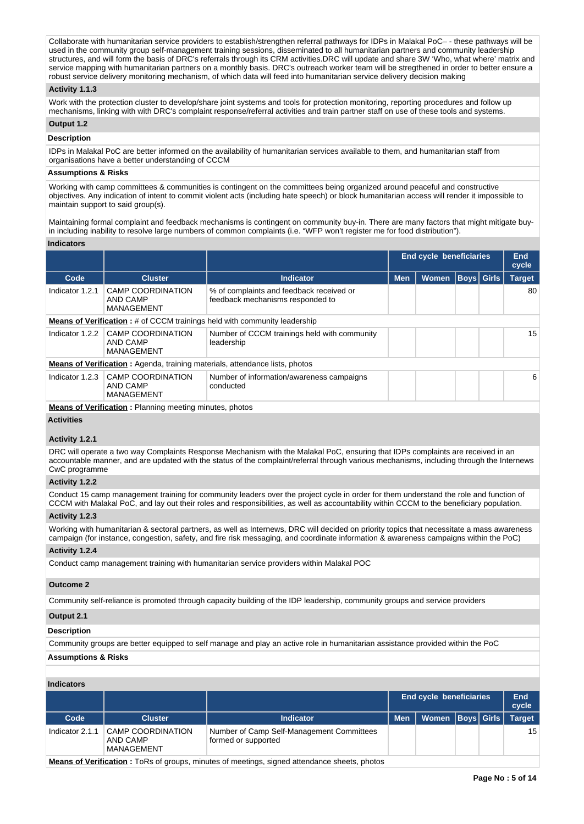Collaborate with humanitarian service providers to establish/strengthen referral pathways for IDPs in Malakal PoC– - these pathways will be used in the community group self-management training sessions, disseminated to all humanitarian partners and community leadership structures, and will form the basis of DRC's referrals through its CRM activities.DRC will update and share 3W 'Who, what where' matrix and service mapping with humanitarian partners on a monthly basis. DRC's outreach worker team will be stregthened in order to better ensure a robust service delivery monitoring mechanism, of which data will feed into humanitarian service delivery decision making

### **Activity 1.1.3**

Work with the protection cluster to develop/share joint systems and tools for protection monitoring, reporting procedures and follow up mechanisms, linking with with DRC's complaint response/referral activities and train partner staff on use of these tools and systems.

# **Output 1.2**

## **Description**

IDPs in Malakal PoC are better informed on the availability of humanitarian services available to them, and humanitarian staff from organisations have a better understanding of CCCM

## **Assumptions & Risks**

Working with camp committees & communities is contingent on the committees being organized around peaceful and constructive objectives. Any indication of intent to commit violent acts (including hate speech) or block humanitarian access will render it impossible to maintain support to said group(s).

Maintaining formal complaint and feedback mechanisms is contingent on community buy-in. There are many factors that might mitigate buyin including inability to resolve large numbers of common complaints (i.e. "WFP won't register me for food distribution").

#### **Indicators**

|                                                           |                                                                              |                                                                                                                                                                                                                                   |              |  | End<br>cycle                                        |
|-----------------------------------------------------------|------------------------------------------------------------------------------|-----------------------------------------------------------------------------------------------------------------------------------------------------------------------------------------------------------------------------------|--------------|--|-----------------------------------------------------|
| <b>Cluster</b>                                            | <b>Indicator</b>                                                             | <b>Men</b>                                                                                                                                                                                                                        | <b>Women</b> |  | <b>Target</b>                                       |
| <b>CAMP COORDINATION</b><br>AND CAMP<br>MANAGEMENT        | % of complaints and feedback received or<br>feedback mechanisms responded to |                                                                                                                                                                                                                                   |              |  | 80                                                  |
|                                                           |                                                                              |                                                                                                                                                                                                                                   |              |  |                                                     |
| <b>CAMP COORDINATION</b><br>AND CAMP<br>MANAGEMENT        | Number of CCCM trainings held with community<br>leadership                   |                                                                                                                                                                                                                                   |              |  | 15                                                  |
|                                                           |                                                                              |                                                                                                                                                                                                                                   |              |  |                                                     |
| <b>CAMP COORDINATION</b><br>AND CAMP<br><b>MANAGEMENT</b> | Number of information/awareness campaigns<br>conducted                       |                                                                                                                                                                                                                                   |              |  | 6                                                   |
|                                                           |                                                                              | <b>Means of Verification:</b> # of CCCM trainings held with community leadership<br><b>Means of Verification:</b> Agenda, training materials, attendance lists, photos<br>Means of Verification - Dispose meeting minutes, photog |              |  | <b>End cycle beneficiaries</b><br><b>Boys</b> Girls |

**Means of Verification :** Planning meeting minutes, photos

## **Activities**

### **Activity 1.2.1**

DRC will operate a two way Complaints Response Mechanism with the Malakal PoC, ensuring that IDPs complaints are received in an accountable manner, and are updated with the status of the complaint/referral through various mechanisms, including through the Internews CwC programme

### **Activity 1.2.2**

Conduct 15 camp management training for community leaders over the project cycle in order for them understand the role and function of CCCM with Malakal PoC, and lay out their roles and responsibilities, as well as accountability within CCCM to the beneficiary population.

## **Activity 1.2.3**

Working with humanitarian & sectoral partners, as well as Internews, DRC will decided on priority topics that necessitate a mass awareness campaign (for instance, congestion, safety, and fire risk messaging, and coordinate information & awareness campaigns within the PoC)

## **Activity 1.2.4**

Conduct camp management training with humanitarian service providers within Malakal POC

### **Outcome 2**

Community self-reliance is promoted through capacity building of the IDP leadership, community groups and service providers

# **Output 2.1**

## **Description**

Community groups are better equipped to self manage and play an active role in humanitarian assistance provided within the PoC

# **Assumptions & Risks**

**Indicators**

|                 |                                                    |                                                                  |            | <b>End cycle beneficiaries</b> |  |  |               |
|-----------------|----------------------------------------------------|------------------------------------------------------------------|------------|--------------------------------|--|--|---------------|
| Code            | <b>Cluster</b>                                     | Indicator                                                        | <b>Men</b> | Women   Boys   Girls           |  |  | <b>Target</b> |
| Indicator 2.1.1 | <b>CAMP COORDINATION</b><br>AND CAMP<br>MANAGEMENT | Number of Camp Self-Management Committees<br>formed or supported |            |                                |  |  | 15            |

**Means of Verification :** ToRs of groups, minutes of meetings, signed attendance sheets, photos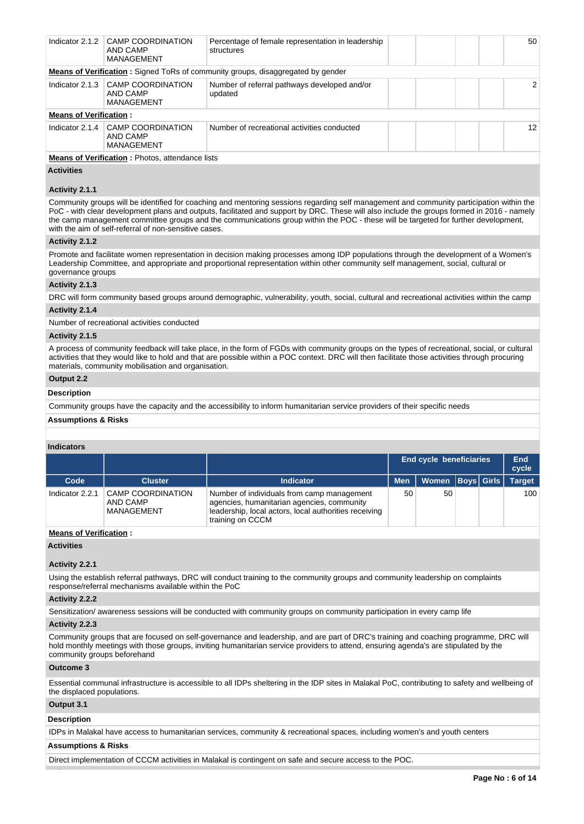| Indicator 2.1.2               | CAMP COORDINATION<br>AND CAMP<br>MANAGEMENT            | Percentage of female representation in leadership<br>structures                        |  |  | 50 |
|-------------------------------|--------------------------------------------------------|----------------------------------------------------------------------------------------|--|--|----|
|                               |                                                        | <b>Means of Verification:</b> Signed ToRs of community groups, disaggregated by gender |  |  |    |
| Indicator 2.1.3               | CAMP COORDINATION<br>AND CAMP<br>MANAGEMENT            | Number of referral pathways developed and/or<br>updated                                |  |  | 2  |
| <b>Means of Verification:</b> |                                                        |                                                                                        |  |  |    |
| Indicator 2.1.4               | CAMP COORDINATION<br>AND CAMP<br>MANAGEMENT            | Number of recreational activities conducted                                            |  |  | 12 |
|                               | <b>Means of Verification:</b> Photos, attendance lists |                                                                                        |  |  |    |

#### **Activities**

## **Activity 2.1.1**

Community groups will be identified for coaching and mentoring sessions regarding self management and community participation within the PoC - with clear development plans and outputs, facilitated and support by DRC. These will also include the groups formed in 2016 - namely the camp management committee groups and the communications group within the POC - these will be targeted for further development, with the aim of self-referral of non-sensitive cases.

## **Activity 2.1.2**

Promote and facilitate women representation in decision making processes among IDP populations through the development of a Women's Leadership Committee, and appropriate and proportional representation within other community self management, social, cultural or governance groups

#### **Activity 2.1.3**

DRC will form community based groups around demographic, vulnerability, youth, social, cultural and recreational activities within the camp

# **Activity 2.1.4**

Number of recreational activities conducted

## **Activity 2.1.5**

A process of community feedback will take place, in the form of FGDs with community groups on the types of recreational, social, or cultural activities that they would like to hold and that are possible within a POC context. DRC will then facilitate those activities through procuring materials, community mobilisation and organisation.

# **Output 2.2**

# **Description**

Community groups have the capacity and the accessibility to inform humanitarian service providers of their specific needs

#### **Assumptions & Risks**

#### **Indicators**

|                 |                                                    |                                                                                                                                                                       |            | <b>End cycle beneficiaries</b><br><b>Women Boys Girls</b><br>50<br>50 |  |  |               |
|-----------------|----------------------------------------------------|-----------------------------------------------------------------------------------------------------------------------------------------------------------------------|------------|-----------------------------------------------------------------------|--|--|---------------|
| Code            | <b>Cluster</b>                                     | <b>Indicator</b>                                                                                                                                                      | <b>Men</b> |                                                                       |  |  | <b>Target</b> |
| Indicator 2.2.1 | <b>CAMP COORDINATION</b><br>AND CAMP<br>MANAGEMENT | Number of individuals from camp management<br>agencies, humanitarian agencies, community<br>leadership, local actors, local authorities receiving<br>training on CCCM |            |                                                                       |  |  | 100           |

# **Means of Verification :**

## **Activities**

### **Activity 2.2.1**

Using the establish referral pathways, DRC will conduct training to the community groups and community leadership on complaints response/referral mechanisms available within the PoC

#### **Activity 2.2.2**

Sensitization/ awareness sessions will be conducted with community groups on community participation in every camp life

### **Activity 2.2.3**

Community groups that are focused on self-governance and leadership, and are part of DRC's training and coaching programme, DRC will hold monthly meetings with those groups, inviting humanitarian service providers to attend, ensuring agenda's are stipulated by the community groups beforehand

#### **Outcome 3**

Essential communal infrastructure is accessible to all IDPs sheltering in the IDP sites in Malakal PoC, contributing to safety and wellbeing of the displaced populations.

# **Output 3.1**

#### **Description**

IDPs in Malakal have access to humanitarian services, community & recreational spaces, including women's and youth centers

# **Assumptions & Risks**

Direct implementation of CCCM activities in Malakal is contingent on safe and secure access to the POC.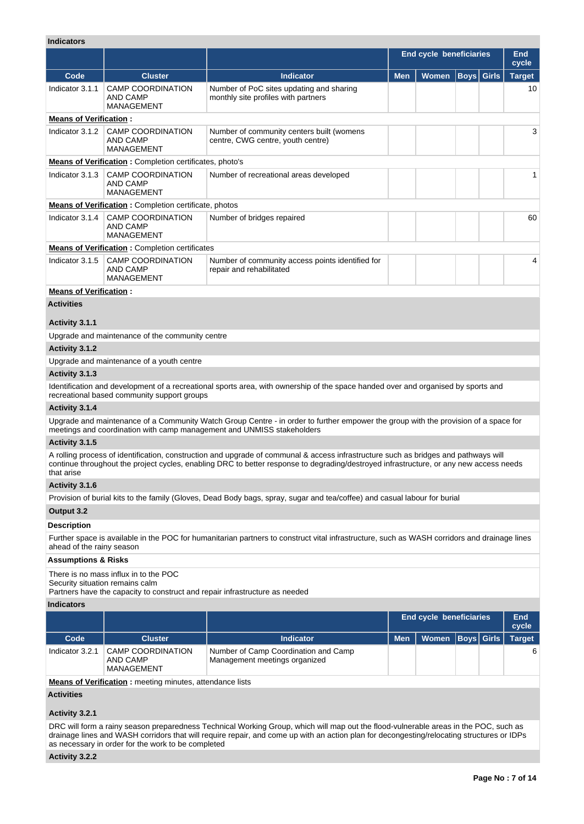# **Indicators**

| iliulualui s                  |                                                                  |                                                                                                                                                                                                                                                                               |                                                |       |      |              |               |  |
|-------------------------------|------------------------------------------------------------------|-------------------------------------------------------------------------------------------------------------------------------------------------------------------------------------------------------------------------------------------------------------------------------|------------------------------------------------|-------|------|--------------|---------------|--|
|                               |                                                                  |                                                                                                                                                                                                                                                                               | End cycle beneficiaries<br><b>End</b><br>cycle |       |      |              |               |  |
| Code                          | <b>Cluster</b>                                                   | Indicator                                                                                                                                                                                                                                                                     | <b>Men</b>                                     | Women | Boys | <b>Girls</b> | <b>Target</b> |  |
| Indicator 3.1.1               | <b>CAMP COORDINATION</b><br><b>AND CAMP</b><br><b>MANAGEMENT</b> | Number of PoC sites updating and sharing<br>monthly site profiles with partners                                                                                                                                                                                               |                                                |       |      |              | 10            |  |
| <b>Means of Verification:</b> |                                                                  |                                                                                                                                                                                                                                                                               |                                                |       |      |              |               |  |
| Indicator 3.1.2               | CAMP COORDINATION<br><b>AND CAMP</b><br>MANAGEMENT               | Number of community centers built (womens<br>centre, CWG centre, youth centre)                                                                                                                                                                                                |                                                |       |      |              | 3             |  |
|                               | <b>Means of Verification :</b> Completion certificates, photo's  |                                                                                                                                                                                                                                                                               |                                                |       |      |              |               |  |
| Indicator 3.1.3               | <b>CAMP COORDINATION</b><br><b>AND CAMP</b><br><b>MANAGEMENT</b> | Number of recreational areas developed                                                                                                                                                                                                                                        |                                                |       |      |              | 1             |  |
|                               | <b>Means of Verification :</b> Completion certificate, photos    |                                                                                                                                                                                                                                                                               |                                                |       |      |              |               |  |
| Indicator 3.1.4               | <b>CAMP COORDINATION</b><br><b>AND CAMP</b><br>MANAGEMENT        | Number of bridges repaired                                                                                                                                                                                                                                                    |                                                |       |      |              | 60            |  |
|                               | <b>Means of Verification: Completion certificates</b>            |                                                                                                                                                                                                                                                                               |                                                |       |      |              |               |  |
| Indicator 3.1.5               | <b>CAMP COORDINATION</b><br><b>AND CAMP</b><br>MANAGEMENT        | Number of community access points identified for<br>repair and rehabilitated                                                                                                                                                                                                  |                                                |       |      |              | 4             |  |
| <b>Means of Verification:</b> |                                                                  |                                                                                                                                                                                                                                                                               |                                                |       |      |              |               |  |
| <b>Activities</b>             |                                                                  |                                                                                                                                                                                                                                                                               |                                                |       |      |              |               |  |
| Activity 3.1.1                |                                                                  |                                                                                                                                                                                                                                                                               |                                                |       |      |              |               |  |
|                               | Upgrade and maintenance of the community centre                  |                                                                                                                                                                                                                                                                               |                                                |       |      |              |               |  |
| Activity 3.1.2                |                                                                  |                                                                                                                                                                                                                                                                               |                                                |       |      |              |               |  |
|                               | Upgrade and maintenance of a youth centre                        |                                                                                                                                                                                                                                                                               |                                                |       |      |              |               |  |
| Activity 3.1.3                |                                                                  |                                                                                                                                                                                                                                                                               |                                                |       |      |              |               |  |
|                               | recreational based community support groups                      | Identification and development of a recreational sports area, with ownership of the space handed over and organised by sports and                                                                                                                                             |                                                |       |      |              |               |  |
| Activity 3.1.4                |                                                                  |                                                                                                                                                                                                                                                                               |                                                |       |      |              |               |  |
|                               |                                                                  | Upgrade and maintenance of a Community Watch Group Centre - in order to further empower the group with the provision of a space for<br>meetings and coordination with camp management and UNMISS stakeholders                                                                 |                                                |       |      |              |               |  |
| Activity 3.1.5                |                                                                  |                                                                                                                                                                                                                                                                               |                                                |       |      |              |               |  |
| that arise                    |                                                                  | A rolling process of identification, construction and upgrade of communal & access infrastructure such as bridges and pathways will<br>continue throughout the project cycles, enabling DRC to better response to degrading/destroyed infrastructure, or any new access needs |                                                |       |      |              |               |  |
| Activity 3.1.6                |                                                                  |                                                                                                                                                                                                                                                                               |                                                |       |      |              |               |  |
|                               |                                                                  | Provision of burial kits to the family (Gloves, Dead Body bags, spray, sugar and tea/coffee) and casual labour for burial                                                                                                                                                     |                                                |       |      |              |               |  |
| Output 3.2                    |                                                                  |                                                                                                                                                                                                                                                                               |                                                |       |      |              |               |  |
| <b>Description</b>            |                                                                  |                                                                                                                                                                                                                                                                               |                                                |       |      |              |               |  |
| ahead of the rainy season     |                                                                  | Further space is available in the POC for humanitarian partners to construct vital infrastructure, such as WASH corridors and drainage lines                                                                                                                                  |                                                |       |      |              |               |  |
|                               |                                                                  |                                                                                                                                                                                                                                                                               |                                                |       |      |              |               |  |

#### **Assumptions & Risks**

There is no mass influx in to the POC

Security situation remains calm

Partners have the capacity to construct and repair infrastructure as needed

# **Indicators**

|                 |                                             |                                                                       |            | <b>End cycle beneficiaries</b> | End<br>cycle |               |
|-----------------|---------------------------------------------|-----------------------------------------------------------------------|------------|--------------------------------|--------------|---------------|
| Code            | <b>Cluster</b>                              | <b>Indicator</b>                                                      | <b>Men</b> | Women   Boys   Girls           |              | <b>Target</b> |
| Indicator 3.2.1 | CAMP COORDINATION<br>AND CAMP<br>MANAGEMENT | Number of Camp Coordination and Camp<br>Management meetings organized |            |                                |              | 6             |

**Means of Verification :** meeting minutes, attendance lists

**Activities**

# **Activity 3.2.1**

DRC will form a rainy season preparedness Technical Working Group, which will map out the flood-vulnerable areas in the POC, such as drainage lines and WASH corridors that will require repair, and come up with an action plan for decongesting/relocating structures or IDPs as necessary in order for the work to be completed

# **Activity 3.2.2**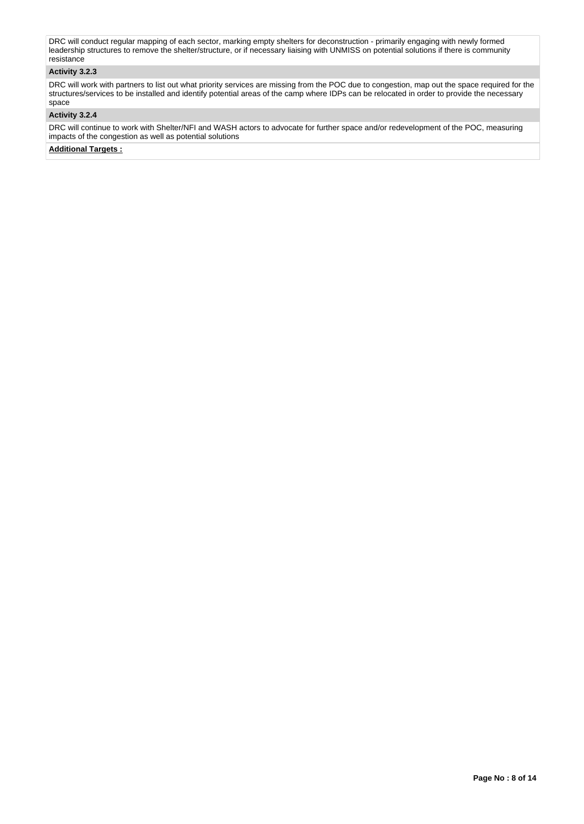DRC will conduct regular mapping of each sector, marking empty shelters for deconstruction - primarily engaging with newly formed leadership structures to remove the shelter/structure, or if necessary liaising with UNMISS on potential solutions if there is community resistance

# **Activity 3.2.3**

DRC will work with partners to list out what priority services are missing from the POC due to congestion, map out the space required for the structures/services to be installed and identify potential areas of the camp where IDPs can be relocated in order to provide the necessary space

#### **Activity 3.2.4**

DRC will continue to work with Shelter/NFI and WASH actors to advocate for further space and/or redevelopment of the POC, measuring impacts of the congestion as well as potential solutions

**Additional Targets :**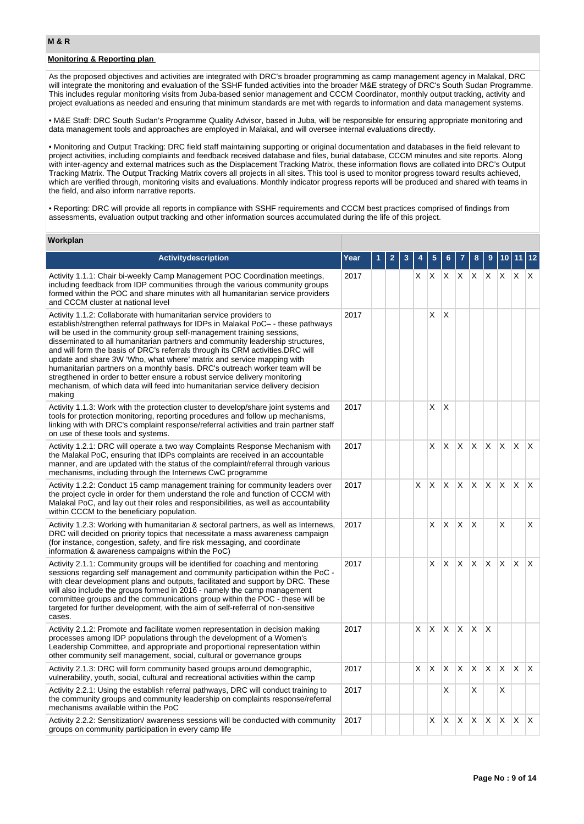# **Monitoring & Reporting plan**

As the proposed objectives and activities are integrated with DRC's broader programming as camp management agency in Malakal, DRC will integrate the monitoring and evaluation of the SSHF funded activities into the broader M&E strategy of DRC's South Sudan Programme. This includes regular monitoring visits from Juba-based senior management and CCCM Coordinator, monthly output tracking, activity and project evaluations as needed and ensuring that minimum standards are met with regards to information and data management systems.

• M&E Staff: DRC South Sudan's Programme Quality Advisor, based in Juba, will be responsible for ensuring appropriate monitoring and data management tools and approaches are employed in Malakal, and will oversee internal evaluations directly.

• Monitoring and Output Tracking: DRC field staff maintaining supporting or original documentation and databases in the field relevant to project activities, including complaints and feedback received database and files, burial database, CCCM minutes and site reports. Along with inter-agency and external matrices such as the Displacement Tracking Matrix, these information flows are collated into DRC's Output Tracking Matrix. The Output Tracking Matrix covers all projects in all sites. This tool is used to monitor progress toward results achieved, which are verified through, monitoring visits and evaluations. Monthly indicator progress reports will be produced and shared with teams in the field, and also inform narrative reports.

• Reporting: DRC will provide all reports in compliance with SSHF requirements and CCCM best practices comprised of findings from assessments, evaluation output tracking and other information sources accumulated during the life of this project.

### **Workplan**

| <b>Activitydescription</b>                                                                                                                                                                                                                                                                                                                                                                                                                                                                                                                                                                                                                                                                                                               | Year |  |    |   |   |   |          |              |              |              |                         |
|------------------------------------------------------------------------------------------------------------------------------------------------------------------------------------------------------------------------------------------------------------------------------------------------------------------------------------------------------------------------------------------------------------------------------------------------------------------------------------------------------------------------------------------------------------------------------------------------------------------------------------------------------------------------------------------------------------------------------------------|------|--|----|---|---|---|----------|--------------|--------------|--------------|-------------------------|
| Activity 1.1.1: Chair bi-weekly Camp Management POC Coordination meetings,<br>including feedback from IDP communities through the various community groups<br>formed within the POC and share minutes with all humanitarian service providers<br>and CCCM cluster at national level                                                                                                                                                                                                                                                                                                                                                                                                                                                      | 2017 |  | X  | Х | Χ | X | X        | Χ            | X            | X            | $\times$                |
| Activity 1.1.2: Collaborate with humanitarian service providers to<br>establish/strengthen referral pathways for IDPs in Malakal PoC- - these pathways<br>will be used in the community group self-management training sessions,<br>disseminated to all humanitarian partners and community leadership structures,<br>and will form the basis of DRC's referrals through its CRM activities. DRC will<br>update and share 3W 'Who, what where' matrix and service mapping with<br>humanitarian partners on a monthly basis. DRC's outreach worker team will be<br>stregthened in order to better ensure a robust service delivery monitoring<br>mechanism, of which data will feed into humanitarian service delivery decision<br>making | 2017 |  |    | Χ | X |   |          |              |              |              |                         |
| Activity 1.1.3: Work with the protection cluster to develop/share joint systems and<br>tools for protection monitoring, reporting procedures and follow up mechanisms,<br>linking with with DRC's complaint response/referral activities and train partner staff<br>on use of these tools and systems.                                                                                                                                                                                                                                                                                                                                                                                                                                   | 2017 |  |    | X | X |   |          |              |              |              |                         |
| Activity 1.2.1: DRC will operate a two way Complaints Response Mechanism with<br>the Malakal PoC, ensuring that IDPs complaints are received in an accountable<br>manner, and are updated with the status of the complaint/referral through various<br>mechanisms, including through the Internews CwC programme                                                                                                                                                                                                                                                                                                                                                                                                                         | 2017 |  |    | X | X | X | X        | X.           | <b>X</b>     | X            | ΙX.                     |
| Activity 1.2.2: Conduct 15 camp management training for community leaders over<br>the project cycle in order for them understand the role and function of CCCM with<br>Malakal PoC, and lay out their roles and responsibilities, as well as accountability<br>within CCCM to the beneficiary population.                                                                                                                                                                                                                                                                                                                                                                                                                                | 2017 |  | X. | X | X | X | X        | X            | $\mathsf{X}$ | X            | ΙX.                     |
| Activity 1.2.3: Working with humanitarian & sectoral partners, as well as Internews,<br>DRC will decided on priority topics that necessitate a mass awareness campaign<br>(for instance, congestion, safety, and fire risk messaging, and coordinate<br>information & awareness campaigns within the PoC)                                                                                                                                                                                                                                                                                                                                                                                                                                | 2017 |  |    | X | X | X | X        |              | X            |              | X                       |
| Activity 2.1.1: Community groups will be identified for coaching and mentoring<br>sessions regarding self management and community participation within the PoC -<br>with clear development plans and outputs, facilitated and support by DRC. These<br>will also include the groups formed in 2016 - namely the camp management<br>committee groups and the communications group within the POC - these will be<br>targeted for further development, with the aim of self-referral of non-sensitive<br>cases.                                                                                                                                                                                                                           | 2017 |  |    | X | X | X | $\times$ | $\mathsf{x}$ | X            | X            | ΙX.                     |
| Activity 2.1.2: Promote and facilitate women representation in decision making<br>processes among IDP populations through the development of a Women's<br>Leadership Committee, and appropriate and proportional representation within<br>other community self management, social, cultural or governance groups                                                                                                                                                                                                                                                                                                                                                                                                                         | 2017 |  | X  | X | X | X | X.       | X            |              |              |                         |
| Activity 2.1.3: DRC will form community based groups around demographic,<br>vulnerability, youth, social, cultural and recreational activities within the camp                                                                                                                                                                                                                                                                                                                                                                                                                                                                                                                                                                           | 2017 |  | X. | X | X | X | X.       | X            | X.           | $\times$     | $\mathsf{X}$            |
| Activity 2.2.1: Using the establish referral pathways, DRC will conduct training to<br>the community groups and community leadership on complaints response/referral<br>mechanisms available within the PoC                                                                                                                                                                                                                                                                                                                                                                                                                                                                                                                              | 2017 |  |    |   | X |   | X        |              | Х            |              |                         |
| Activity 2.2.2: Sensitization/ awareness sessions will be conducted with community<br>groups on community participation in every camp life                                                                                                                                                                                                                                                                                                                                                                                                                                                                                                                                                                                               | 2017 |  |    | X | Χ | X | X.       | X            | X            | $\mathsf{X}$ | $\mathsf{I} \mathsf{X}$ |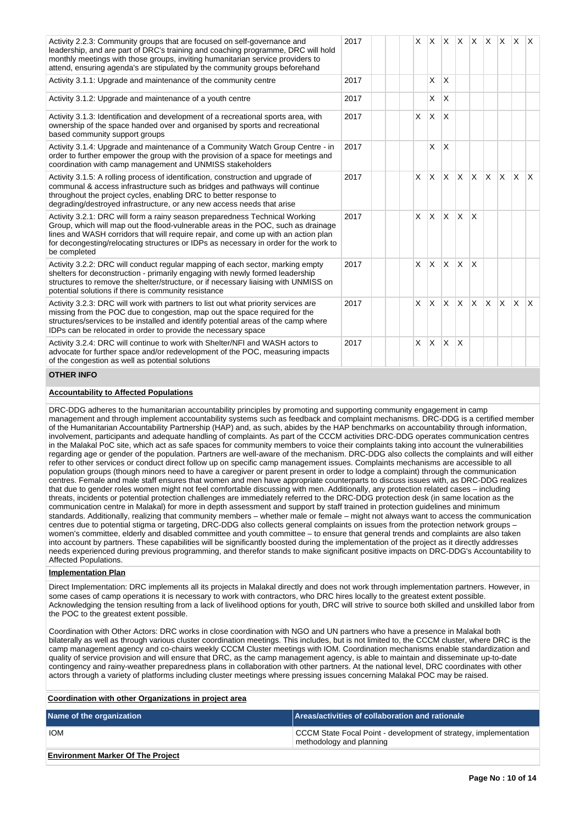| Activity 2.2.3: Community groups that are focused on self-governance and<br>leadership, and are part of DRC's training and coaching programme, DRC will hold<br>monthly meetings with those groups, inviting humanitarian service providers to<br>attend, ensuring agenda's are stipulated by the community groups beforehand                                  | 2017 |          | $x$ $x$ $x$ $x$ $x$ $x$ $x$ $x$ $x$ |              |              |              |              |              |              |
|----------------------------------------------------------------------------------------------------------------------------------------------------------------------------------------------------------------------------------------------------------------------------------------------------------------------------------------------------------------|------|----------|-------------------------------------|--------------|--------------|--------------|--------------|--------------|--------------|
| Activity 3.1.1: Upgrade and maintenance of the community centre                                                                                                                                                                                                                                                                                                | 2017 |          | X                                   | $\times$     |              |              |              |              |              |
| Activity 3.1.2: Upgrade and maintenance of a youth centre                                                                                                                                                                                                                                                                                                      | 2017 |          | X                                   | X            |              |              |              |              |              |
| Activity 3.1.3: Identification and development of a recreational sports area, with<br>ownership of the space handed over and organised by sports and recreational<br>based community support groups                                                                                                                                                            | 2017 | X        | $\times$                            | X            |              |              |              |              |              |
| Activity 3.1.4: Upgrade and maintenance of a Community Watch Group Centre - in<br>order to further empower the group with the provision of a space for meetings and<br>coordination with camp management and UNMISS stakeholders                                                                                                                               | 2017 |          | X                                   | $\times$     |              |              |              |              |              |
| Activity 3.1.5: A rolling process of identification, construction and upgrade of<br>communal & access infrastructure such as bridges and pathways will continue<br>throughout the project cycles, enabling DRC to better response to<br>degrading/destroyed infrastructure, or any new access needs that arise                                                 | 2017 | $\times$ | <b>X</b>                            | X            | lx.          | $x \times$   | $\mathsf{X}$ | $x \times$   |              |
| Activity 3.2.1: DRC will form a rainy season preparedness Technical Working<br>Group, which will map out the flood-vulnerable areas in the POC, such as drainage<br>lines and WASH corridors that will require repair, and come up with an action plan<br>for decongesting/relocating structures or IDPs as necessary in order for the work to<br>be completed | 2017 | $\times$ | ΙX.                                 | $\times$     | $\mathsf{X}$ | X            |              |              |              |
| Activity 3.2.2: DRC will conduct regular mapping of each sector, marking empty<br>shelters for deconstruction - primarily engaging with newly formed leadership<br>structures to remove the shelter/structure, or if necessary liaising with UNMISS on<br>potential solutions if there is community resistance                                                 | 2017 | $\times$ | IX.                                 | $\times$     | $\mathsf{X}$ | $\mathsf{x}$ |              |              |              |
| Activity 3.2.3: DRC will work with partners to list out what priority services are<br>missing from the POC due to congestion, map out the space required for the<br>structures/services to be installed and identify potential areas of the camp where<br>IDPs can be relocated in order to provide the necessary space                                        | 2017 | X        | <b>X</b>                            | X            | $\mathsf{X}$ | $x \mid x$   | $\mathsf{X}$ | $\mathsf{X}$ | $\mathsf{X}$ |
| Activity 3.2.4: DRC will continue to work with Shelter/NFI and WASH actors to<br>advocate for further space and/or redevelopment of the POC, measuring impacts<br>of the congestion as well as potential solutions                                                                                                                                             | 2017 | $\times$ | <b>X</b>                            | $\mathsf{x}$ | ΙX.          |              |              |              |              |

# **OTHER INFO**

## **Accountability to Affected Populations**

DRC-DDG adheres to the humanitarian accountability principles by promoting and supporting community engagement in camp management and through implement accountability systems such as feedback and complaint mechanisms. DRC-DDG is a certified member of the Humanitarian Accountability Partnership (HAP) and, as such, abides by the HAP benchmarks on accountability through information, involvement, participants and adequate handling of complaints. As part of the CCCM activities DRC-DDG operates communication centres in the Malakal PoC site, which act as safe spaces for community members to voice their complaints taking into account the vulnerabilities regarding age or gender of the population. Partners are well-aware of the mechanism. DRC-DDG also collects the complaints and will either refer to other services or conduct direct follow up on specific camp management issues. Complaints mechanisms are accessible to all population groups (though minors need to have a caregiver or parent present in order to lodge a complaint) through the communication centres. Female and male staff ensures that women and men have appropriate counterparts to discuss issues with, as DRC-DDG realizes that due to gender roles women might not feel comfortable discussing with men. Additionally, any protection related cases – including threats, incidents or potential protection challenges are immediately referred to the DRC-DDG protection desk (in same location as the communication centre in Malakal) for more in depth assessment and support by staff trained in protection guidelines and minimum standards. Additionally, realizing that community members – whether male or female – might not always want to access the communication centres due to potential stigma or targeting, DRC-DDG also collects general complaints on issues from the protection network groups – women's committee, elderly and disabled committee and youth committee – to ensure that general trends and complaints are also taken into account by partners. These capabilities will be significantly boosted during the implementation of the project as it directly addresses needs experienced during previous programming, and therefor stands to make significant positive impacts on DRC-DDG's Accountability to Affected Populations.

#### **Implementation Plan**

Direct Implementation: DRC implements all its projects in Malakal directly and does not work through implementation partners. However, in some cases of camp operations it is necessary to work with contractors, who DRC hires locally to the greatest extent possible. Acknowledging the tension resulting from a lack of livelihood options for youth, DRC will strive to source both skilled and unskilled labor from the POC to the greatest extent possible.

Coordination with Other Actors: DRC works in close coordination with NGO and UN partners who have a presence in Malakal both bilaterally as well as through various cluster coordination meetings. This includes, but is not limited to, the CCCM cluster, where DRC is the camp management agency and co-chairs weekly CCCM Cluster meetings with IOM. Coordination mechanisms enable standardization and quality of service provision and will ensure that DRC, as the camp management agency, is able to maintain and disseminate up-to-date contingency and rainy-weather preparedness plans in collaboration with other partners. At the national level, DRC coordinates with other actors through a variety of platforms including cluster meetings where pressing issues concerning Malakal POC may be raised.

| Coordination with other Organizations in project area |                                                                                              |
|-------------------------------------------------------|----------------------------------------------------------------------------------------------|
| Name of the organization                              | Areas/activities of collaboration and rationale                                              |
| <b>IOM</b>                                            | CCCM State Focal Point - development of strategy, implementation<br>methodology and planning |
| <b>Environment Marker Of The Project</b>              |                                                                                              |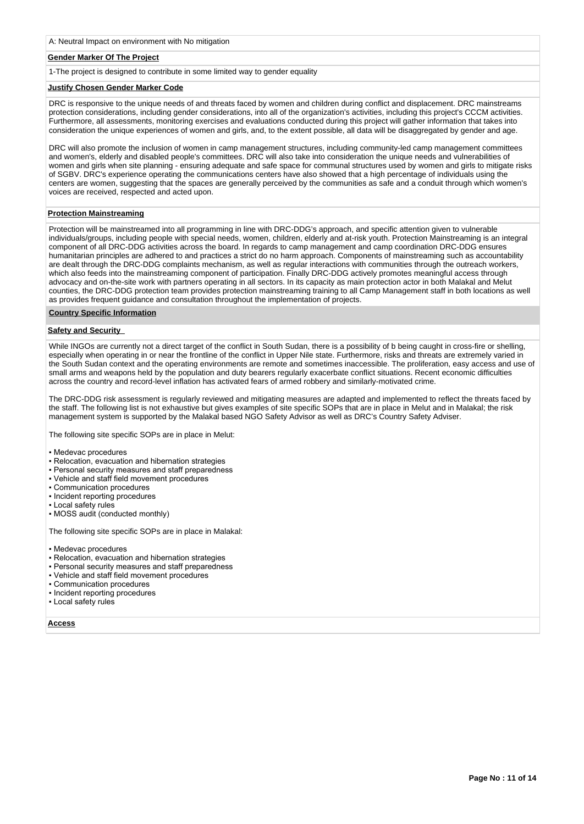## **Gender Marker Of The Project**

1-The project is designed to contribute in some limited way to gender equality

#### **Justify Chosen Gender Marker Code**

DRC is responsive to the unique needs of and threats faced by women and children during conflict and displacement. DRC mainstreams protection considerations, including gender considerations, into all of the organization's activities, including this project's CCCM activities. Furthermore, all assessments, monitoring exercises and evaluations conducted during this project will gather information that takes into consideration the unique experiences of women and girls, and, to the extent possible, all data will be disaggregated by gender and age.

DRC will also promote the inclusion of women in camp management structures, including community-led camp management committees and women's, elderly and disabled people's committees. DRC will also take into consideration the unique needs and vulnerabilities of women and girls when site planning - ensuring adequate and safe space for communal structures used by women and girls to mitigate risks of SGBV. DRC's experience operating the communications centers have also showed that a high percentage of individuals using the centers are women, suggesting that the spaces are generally perceived by the communities as safe and a conduit through which women's voices are received, respected and acted upon.

#### **Protection Mainstreaming**

Protection will be mainstreamed into all programming in line with DRC-DDG's approach, and specific attention given to vulnerable individuals/groups, including people with special needs, women, children, elderly and at-risk youth. Protection Mainstreaming is an integral component of all DRC-DDG activities across the board. In regards to camp management and camp coordination DRC-DDG ensures humanitarian principles are adhered to and practices a strict do no harm approach. Components of mainstreaming such as accountability are dealt through the DRC-DDG complaints mechanism, as well as regular interactions with communities through the outreach workers. which also feeds into the mainstreaming component of participation. Finally DRC-DDG actively promotes meaningful access through advocacy and on-the-site work with partners operating in all sectors. In its capacity as main protection actor in both Malakal and Melut counties, the DRC-DDG protection team provides protection mainstreaming training to all Camp Management staff in both locations as well as provides frequent guidance and consultation throughout the implementation of projects.

#### **Country Specific Information**

#### **Safety and Security**

While INGOs are currently not a direct target of the conflict in South Sudan, there is a possibility of b being caught in cross-fire or shelling, especially when operating in or near the frontline of the conflict in Upper Nile state. Furthermore, risks and threats are extremely varied in the South Sudan context and the operating environments are remote and sometimes inaccessible. The proliferation, easy access and use of small arms and weapons held by the population and duty bearers regularly exacerbate conflict situations. Recent economic difficulties across the country and record-level inflation has activated fears of armed robbery and similarly-motivated crime.

The DRC-DDG risk assessment is regularly reviewed and mitigating measures are adapted and implemented to reflect the threats faced by the staff. The following list is not exhaustive but gives examples of site specific SOPs that are in place in Melut and in Malakal; the risk management system is supported by the Malakal based NGO Safety Advisor as well as DRC's Country Safety Adviser.

The following site specific SOPs are in place in Melut:

- Medevac procedures
- Relocation, evacuation and hibernation strategies
- Personal security measures and staff preparedness
- Vehicle and staff field movement procedures
- Communication procedures
- Incident reporting procedures
- Local safety rules
- MOSS audit (conducted monthly)

The following site specific SOPs are in place in Malakal:

- Medevac procedures
- Relocation, evacuation and hibernation strategies
- Personal security measures and staff preparedness
- Vehicle and staff field movement procedures
- Communication procedures
- Incident reporting procedures
- Local safety rules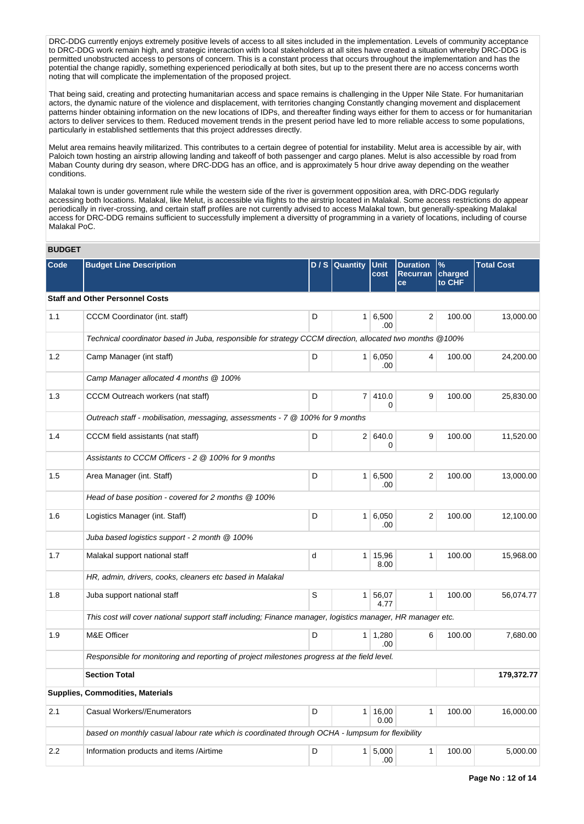DRC-DDG currently enjoys extremely positive levels of access to all sites included in the implementation. Levels of community acceptance to DRC-DDG work remain high, and strategic interaction with local stakeholders at all sites have created a situation whereby DRC-DDG is permitted unobstructed access to persons of concern. This is a constant process that occurs throughout the implementation and has the potential the change rapidly, something experienced periodically at both sites, but up to the present there are no access concerns worth noting that will complicate the implementation of the proposed project.

That being said, creating and protecting humanitarian access and space remains is challenging in the Upper Nile State. For humanitarian actors, the dynamic nature of the violence and displacement, with territories changing Constantly changing movement and displacement patterns hinder obtaining information on the new locations of IDPs, and thereafter finding ways either for them to access or for humanitarian actors to deliver services to them. Reduced movement trends in the present period have led to more reliable access to some populations, particularly in established settlements that this project addresses directly.

Melut area remains heavily militarized. This contributes to a certain degree of potential for instability. Melut area is accessible by air, with Paloich town hosting an airstrip allowing landing and takeoff of both passenger and cargo planes. Melut is also accessible by road from Maban County during dry season, where DRC-DDG has an office, and is approximately 5 hour drive away depending on the weather conditions.

Malakal town is under government rule while the western side of the river is government opposition area, with DRC-DDG regularly accessing both locations. Malakal, like Melut, is accessible via flights to the airstrip located in Malakal. Some access restrictions do appear periodically in river-crossing, and certain staff profiles are not currently advised to access Malakal town, but generally-speaking Malakal access for DRC-DDG remains sufficient to successfully implement a diversitty of programming in a variety of locations, including of course Malakal PoC.

### **BUDGET**

| Code | <b>Budget Line Description</b>                                                                             |   | $D / S$ Quantity | Unit<br>cost           | <b>Duration</b><br><b>Recurran</b><br>ce | $\%$<br>charged<br>to CHF | <b>Total Cost</b> |
|------|------------------------------------------------------------------------------------------------------------|---|------------------|------------------------|------------------------------------------|---------------------------|-------------------|
|      | <b>Staff and Other Personnel Costs</b>                                                                     |   |                  |                        |                                          |                           |                   |
| 1.1  | CCCM Coordinator (int. staff)                                                                              | D |                  | $1 \, 6,500$<br>.00    | $\overline{2}$                           | 100.00                    | 13,000.00         |
|      | Technical coordinator based in Juba, responsible for strategy CCCM direction, allocated two months @100%   |   |                  |                        |                                          |                           |                   |
| 1.2  | Camp Manager (int staff)                                                                                   | D |                  | 1 6,050<br>.00         | $\overline{4}$                           | 100.00                    | 24,200.00         |
|      | Camp Manager allocated 4 months @ 100%                                                                     |   |                  |                        |                                          |                           |                   |
| 1.3  | CCCM Outreach workers (nat staff)                                                                          | D | 7 <sup>1</sup>   | 410.0<br>0             | 9                                        | 100.00                    | 25,830.00         |
|      | Outreach staff - mobilisation, messaging, assessments - $7 \otimes 100\%$ for 9 months                     |   |                  |                        |                                          |                           |                   |
| 1.4  | CCCM field assistants (nat staff)                                                                          | D |                  | 2 640.0<br>0           | 9                                        | 100.00                    | 11,520.00         |
|      | Assistants to CCCM Officers - 2 @ 100% for 9 months                                                        |   |                  |                        |                                          |                           |                   |
| 1.5  | Area Manager (int. Staff)                                                                                  | D |                  | 1 6,500<br>.00         | $\overline{2}$                           | 100.00                    | 13,000.00         |
|      | Head of base position - covered for 2 months @ 100%                                                        |   |                  |                        |                                          |                           |                   |
| 1.6  | Logistics Manager (int. Staff)                                                                             | D |                  | 1 6,050<br>.00         | $\overline{2}$                           | 100.00                    | 12,100.00         |
|      | Juba based logistics support - 2 month @ 100%                                                              |   |                  |                        |                                          |                           |                   |
| 1.7  | Malakal support national staff                                                                             | d |                  | $1 \mid 15,96$<br>8.00 | $\mathbf{1}$                             | 100.00                    | 15,968.00         |
|      | HR, admin, drivers, cooks, cleaners etc based in Malakal                                                   |   |                  |                        |                                          |                           |                   |
| 1.8  | Juba support national staff                                                                                | S |                  | 1 56,07<br>4.77        | $\mathbf{1}$                             | 100.00                    | 56,074.77         |
|      | This cost will cover national support staff including; Finance manager, logistics manager, HR manager etc. |   |                  |                        |                                          |                           |                   |
| 1.9  | M&E Officer                                                                                                | D |                  | $1 \mid 1,280$<br>.00  | 6                                        | 100.00                    | 7,680.00          |
|      | Responsible for monitoring and reporting of project milestones progress at the field level.                |   |                  |                        |                                          |                           |                   |
|      | <b>Section Total</b>                                                                                       |   |                  |                        |                                          |                           | 179,372.77        |
|      | <b>Supplies, Commodities, Materials</b>                                                                    |   |                  |                        |                                          |                           |                   |
| 2.1  | Casual Workers//Enumerators                                                                                | D |                  | 1 16,00<br>0.00        | $\mathbf{1}$                             | 100.00                    | 16,000.00         |
|      | based on monthly casual labour rate which is coordinated through OCHA - lumpsum for flexibility            |   |                  |                        |                                          |                           |                   |
| 2.2  | Information products and items /Airtime                                                                    | D |                  | 1   5,000<br>.00       | $\mathbf{1}$                             | 100.00                    | 5,000.00          |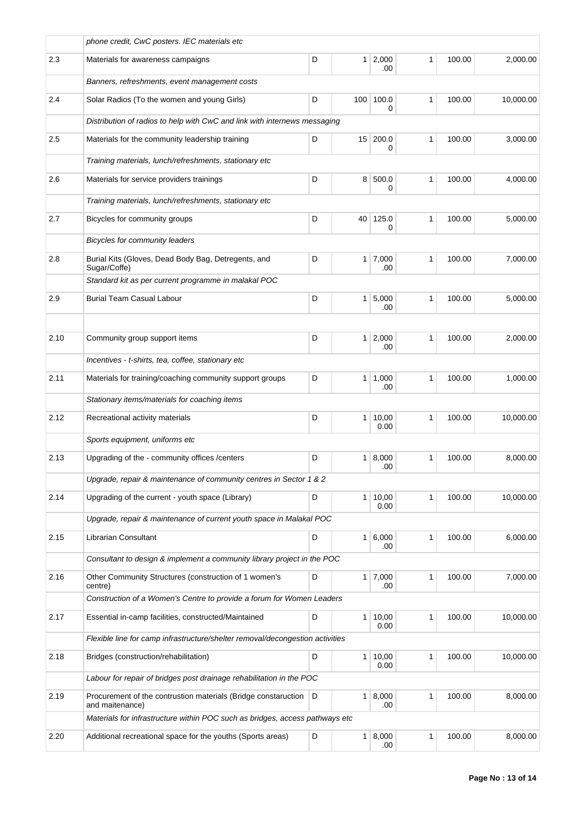|      | phone credit, CwC posters. IEC materials etc                                      |   |                 |                       |              |        |           |
|------|-----------------------------------------------------------------------------------|---|-----------------|-----------------------|--------------|--------|-----------|
| 2.3  | Materials for awareness campaigns                                                 | D |                 | $1 \mid 2,000$<br>.00 | 1            | 100.00 | 2,000.00  |
|      | Banners, refreshments, event management costs                                     |   |                 |                       |              |        |           |
| 2.4  | Solar Radios (To the women and young Girls)                                       | D | 100             | 100.0<br>0            | $\mathbf{1}$ | 100.00 | 10,000.00 |
|      | Distribution of radios to help with CwC and link with internews messaging         |   |                 |                       |              |        |           |
| 2.5  | Materials for the community leadership training                                   | D | 15 <sup>1</sup> | 200.0<br>0            | 1            | 100.00 | 3,000.00  |
|      | Training materials, lunch/refreshments, stationary etc                            |   |                 |                       |              |        |           |
| 2.6  | Materials for service providers trainings                                         | D | 8               | 500.0<br>0            | 1            | 100.00 | 4,000.00  |
|      | Training materials, lunch/refreshments, stationary etc                            |   |                 |                       |              |        |           |
| 2.7  | Bicycles for community groups                                                     | D | 40              | 125.0<br>0            | 1            | 100.00 | 5,000.00  |
|      | Bicycles for community leaders                                                    |   |                 |                       |              |        |           |
| 2.8  | Burial Kits (Gloves, Dead Body Bag, Detregents, and<br>Sugar/Coffe)               | D |                 | $1 \mid 7,000$<br>.00 | 1            | 100.00 | 7,000.00  |
|      | Standard kit as per current programme in malakal POC                              |   |                 |                       |              |        |           |
| 2.9  | <b>Burial Team Casual Labour</b>                                                  | D | $\mathbf{1}$    | 5,000<br>.00          | $\mathbf{1}$ | 100.00 | 5,000.00  |
|      |                                                                                   |   |                 |                       |              |        |           |
| 2.10 | Community group support items                                                     | D | $\mathbf{1}$    | 2,000<br>.00          | 1            | 100.00 | 2,000.00  |
|      | Incentives - t-shirts, tea, coffee, stationary etc                                |   |                 |                       |              |        |           |
| 2.11 | Materials for training/coaching community support groups                          | D | 1 <sup>1</sup>  | 1,000<br>.00          | 1            | 100.00 | 1,000.00  |
|      | Stationary items/materials for coaching items                                     |   |                 |                       |              |        |           |
| 2.12 | Recreational activity materials                                                   | D | 1 <sup>1</sup>  | 10,00<br>0.00         | 1            | 100.00 | 10,000.00 |
|      | Sports equipment, uniforms etc                                                    |   |                 |                       |              |        |           |
| 2.13 | Upgrading of the - community offices / centers                                    | D | 1               | 8,000<br>.00          | 1            | 100.00 | 8,000.00  |
|      | Upgrade, repair & maintenance of community centres in Sector 1 & 2                |   |                 |                       |              |        |           |
| 2.14 | Upgrading of the current - youth space (Library)                                  | D | 1 <sup>1</sup>  | 10,00<br>0.00         | 1            | 100.00 | 10,000.00 |
|      | Upgrade, repair & maintenance of current youth space in Malakal POC               |   |                 |                       |              |        |           |
| 2.15 | Librarian Consultant                                                              | D | 1 <sup>1</sup>  | 6,000<br>.00          | 1            | 100.00 | 6,000.00  |
|      | Consultant to design & implement a community library project in the POC           |   |                 |                       |              |        |           |
| 2.16 | Other Community Structures (construction of 1 women's<br>centre)                  | D |                 | $1 \mid 7,000$<br>.00 | 1            | 100.00 | 7,000.00  |
|      | Construction of a Women's Centre to provide a forum for Women Leaders             |   |                 |                       |              |        |           |
| 2.17 | Essential in-camp facilities, constructed/Maintained                              | D | 1 <sup>1</sup>  | 10,00<br>0.00         | 1            | 100.00 | 10,000.00 |
|      | Flexible line for camp infrastructure/shelter removal/decongestion activities     |   |                 |                       |              |        |           |
| 2.18 | Bridges (construction/rehabilitation)                                             | D | $\mathbf{1}$    | 10,00<br>0.00         | 1            | 100.00 | 10,000.00 |
|      | Labour for repair of bridges post drainage rehabilitation in the POC              |   |                 |                       |              |        |           |
| 2.19 | Procurement of the contrustion materials (Bridge constaruction<br>and maitenance) | D | 1               | 8,000<br>.00          | 1            | 100.00 | 8,000.00  |
|      | Materials for infrastructure within POC such as bridges, access pathways etc      |   |                 |                       |              |        |           |
| 2.20 | Additional recreational space for the youths (Sports areas)                       | D | 1 <sup>1</sup>  | 8,000<br>.00.         | 1            | 100.00 | 8,000.00  |